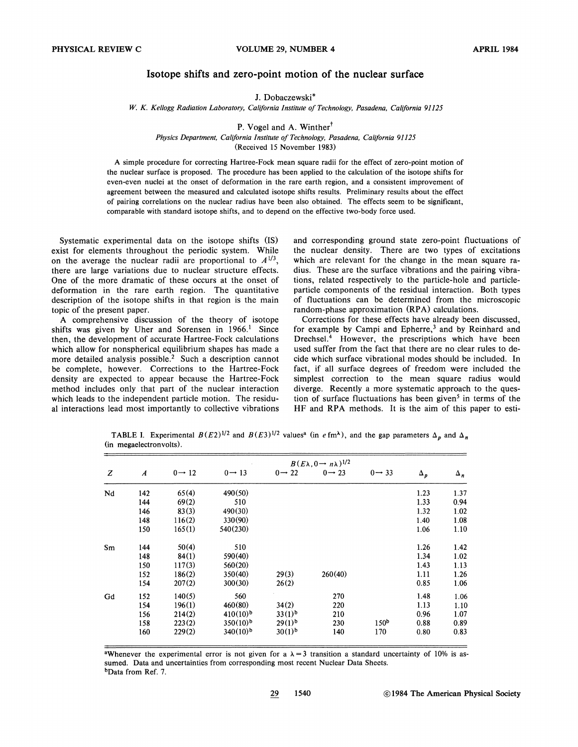## Isotope shifts and zero-point motion of the nuclear surface

J. Dobaczewski\*

*W.* K. *Kellogg Radiation Laboratory, California Institute of Technology, Pasadena, California 91125* 

P. Vogel and A. Winther<sup> $\dagger$ </sup>

*Physics Department, California Institute of Technology, Pasadena, California 91125* 

(Received 15 November 1983)

A simple procedure for correcting Hartree-Fock mean square radii for the effect of zero-point motion of the nuclear surface is proposed. The procedure has been applied to the calculation of the isotope shifts for even-even nuclei at the onset of deformation in the rare earth region, and a consistent improvement of agreement between the measured and calculated isotope shifts results. Preliminary results about the effect of pairing correlations on the nuclear radius have been also obtained. The effects seem to be significant, comparable with standard isotope shifts, and to depend on the effective two-body force used.

Systematic experimental data on the isotope shifts (IS) exist for elements throughout the periodic system. While on the average the nuclear radii are proportional to  $A^{1/3}$ , there are large variations due to nuclear structure effects. One of the more dramatic of these occurs at the onset of deformation in the rare earth region. The quantitative description of the isotope shifts in that region is the main topic of the present paper.

A comprehensive discussion of the theory of isotope shifts was given by Uher and Sorensen in  $1966$ .<sup>1</sup> Since then, the development of accurate Hartree-Fock calculations which allow for nonspherical equilibrium shapes has made a more detailed analysis possible.<sup>2</sup> Such a description cannot be complete, however. Corrections to the Hartree-Fock density are expected to appear because the Hartree-Fock method includes only that part of the nuclear interaction which leads to the independent particle motion. The residual interactions lead most importantly to collective vibrations and corresponding ground state zero-point fluctuations of the nuclear density. There are two types of excitations which are relevant for the change in the mean square radius. These are the surface vibrations and the pairing vibrations, related respectively to the particle-hole and particleparticle components of the residual interaction. Both types of fluctuations can be determined from the microscopic random-phase approximation (RPA) calculations.

Corrections for these effects have already been discussed, for example by Campi and Epherre,<sup>3</sup> and by Reinhard and Drechsel.<sup>4</sup> However, the prescriptions which have been used suffer from the fact that there are no clear rules to decide which surface vibrational modes should be included. In fact, if all surface degrees of freedom were included the simplest correction to the mean square radius would diverge. Recently a more systematic approach to the question of surface fluctuations has been given<sup>5</sup> in terms of the HF and RPA methods. It is the aim of this paper to esti-

TABLE I. Experimental  $B(E2)^{1/2}$  and  $B(E3)^{1/2}$  values<sup>a</sup> (in efm<sup> $\lambda$ </sup>), and the gap parameters  $\Delta_p$  and  $\Delta_p$ (in megaelectronvolts).

| Z  |                  | $B(E\lambda, 0 \rightarrow n\lambda)^{1/2}$ |                    |                    |                    |                    |            |            |  |  |
|----|------------------|---------------------------------------------|--------------------|--------------------|--------------------|--------------------|------------|------------|--|--|
|    | $\boldsymbol{A}$ | $0 \rightarrow 12$                          | $0 \rightarrow 13$ | $0 \rightarrow 22$ | $0 \rightarrow 23$ | $0 \rightarrow 33$ | $\Delta_p$ | $\Delta_n$ |  |  |
| Nd | 142              | 65(4)                                       | 490(50)            |                    |                    |                    | 1.23       | 1.37       |  |  |
|    | 144              | 69(2)                                       | 510                |                    |                    |                    | 1.33       | 0.94       |  |  |
|    | 146              | 83(3)                                       | 490(30)            |                    |                    |                    | 1.32       | 1.02       |  |  |
|    | 148              | 116(2)                                      | 330(90)            |                    |                    |                    | 1.40       | 1.08       |  |  |
|    | 150              | 165(1)                                      | 540(230)           |                    |                    |                    | 1.06       | 1.10       |  |  |
| Sm | 144              | 50(4)                                       | 510                |                    |                    |                    | 1.26       | 1.42       |  |  |
|    | 148              | 84(1)                                       | 590(40)            |                    |                    |                    | 1.34       | 1.02       |  |  |
|    | 150              | 117(3)                                      | 560(20)            |                    |                    |                    | 1.43       | 1.13       |  |  |
|    | 152              | 186(2)                                      | 350(40)            | 29(3)              | 260(40)            |                    | 1.11       | 1.26       |  |  |
|    | 154              | 207(2)                                      | 300(30)            | 26(2)              |                    |                    | 0.85       | 1.06       |  |  |
| Gd | 152              | 140(5)                                      | 560                |                    | 270                |                    | 1.48       | 1.06       |  |  |
|    | 154              | 196(1)                                      | 460(80)            | 34(2)              | 220                |                    | 1.13       | 1.10       |  |  |
|    | 156              | 214(2)                                      | $410(10)^{b}$      | $33(1)^{b}$        | 210                |                    | 0.96       | 1.07       |  |  |
|    | 158              | 223(2)                                      | $350(10)^{b}$      | $29(1)^{b}$        | 230                | 150 <sup>b</sup>   | 0.88       | 0.89       |  |  |
|    | 160              | 229(2)                                      | $340(10)^{b}$      | 30(1) <sup>b</sup> | 140                | 170                | 0.80       | 0.83       |  |  |

awhenever the experimental error is not given for a  $\lambda = 3$  transition a standard uncertainty of 10% is assumed. Data and uncertainties from corresponding most recent Nuclear Data Sheets. bData from Ref. 7.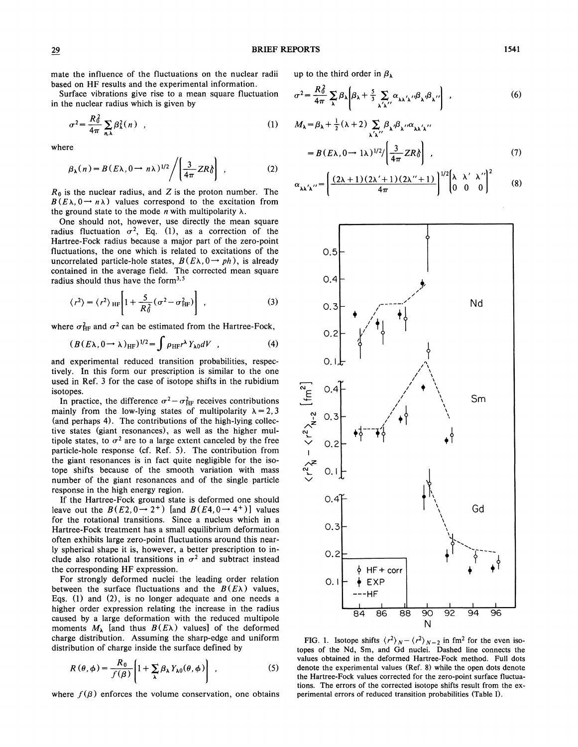mate the influence of the fluctuations on the nuclear radii based on HF results and the experimental information.

Surface vibrations give rise to a mean square fluctuation in the nuclear radius which is given by

$$
\sigma^2 = \frac{R_0^2}{4\pi} \sum_{n,\lambda} \beta_\lambda^2(n) , \qquad (1)
$$

where

$$
\beta_{\lambda}(n) = B(E\lambda, 0 \to n\lambda)^{1/2} / \left( \frac{3}{4\pi} Z R \delta \right) , \qquad (2)
$$

 $R_0$  is the nuclear radius, and  $Z$  is the proton number. The  $B(E\lambda, 0 \rightarrow n\lambda)$  values correspond to the excitation from the ground state to the mode  $n$  with multipolarity  $\lambda$ .

One should not, however, use directly the mean square radius fluctuation  $\sigma^2$ , Eq. (1), as a correction of the Hartree-Fock radius because a major part of the zero-point fluctuations, the one which is related to excitations of the uncorrelated particle-hole states,  $B(E\lambda, 0 \rightarrow ph)$ , is already contained in the average field. The corrected mean square radius should thus have the form $3.5$ 

$$
\langle r^2 \rangle = \langle r^2 \rangle_{\text{HF}} \left[ 1 + \frac{5}{R_0^2} (\sigma^2 - \sigma_{\text{HF}}^2) \right] \tag{3}
$$

where  $\sigma_{HF}^2$  and  $\sigma^2$  can be estimated from the Hartree-Fock,

$$
(B(E\lambda, 0 \to \lambda)_{HF})^{1/2} = \int \rho_{HF} r^{\lambda} Y_{\lambda 0} dV , \qquad (4)
$$

and experimental reduced transition probabilities, respectively. In this form our prescription is similar to the one used in Ref. 3 for the case of isotope shifts in the rubidium isotopes.

In practice, the difference  $\sigma^2 - \sigma_{HF}^2$  receives contributions mainly from the low-lying states of multipolarity  $\lambda = 2, 3$ (and perhaps 4). The contributions of the high-lying collective states (giant resonances), as well as the higher multipole states, to  $\sigma^2$  are to a large extent canceled by the free particle-hole response (cf. Ref. 5). The contribution from the giant resonances is in fact quite negligible for the isotope shifts because of the smooth variation with mass number of the giant resonances and of the single particle response in the high energy region.

If the Hartree-Fock ground state is deformed one should leave out the  $B(E2, 0 \rightarrow 2^+)$  [and  $B(E4, 0 \rightarrow 4^+)$ ] values for the rotational transitions. Since a nucleus which in a Hartree-Fock treatment has a small equilibrium deformation often exhibits large zero-point fluctuations around this nearly spherical shape it is, however, a better prescription to include also rotational transitions in  $\sigma^2$  and subtract instead the corresponding HF expression.

For strongly deformed nuclei the leading order relation between the surface fluctuations and the  $B(E_{\lambda})$  values, Eqs. (I) and (2), is no longer adequate and one needs a higher order expression relating the increase in the radius caused by a large deformation with the reduced multipole moments  $M_{\lambda}$  [and thus  $B(E\lambda)$  values] of the deformed charge distribution. Assuming the sharp-edge and uniform distribution of charge inside the surface defined by

$$
R(\theta,\phi) = \frac{R_0}{f(\beta)} \left[ 1 + \sum_{\lambda} \beta_{\lambda} Y_{\lambda 0}(\theta,\phi) \right] , \qquad (5)
$$

where  $f(\beta)$  enforces the volume conservation, one obtains

up to the third order in  $\beta_{\lambda}$ 

$$
\sigma^2 = \frac{R_0^2}{4\pi} \sum_{\lambda} \beta_{\lambda} \left[ \beta_{\lambda} + \frac{5}{3} \sum_{\lambda' \lambda''} \alpha_{\lambda \lambda' \lambda''} \beta_{\lambda''} \beta_{\lambda''} \right] , \qquad (6)
$$

$$
M_{\lambda} = \beta_{\lambda} + \frac{1}{2} (\lambda + 2) \sum_{\lambda' \lambda''} \beta_{\lambda'} \beta_{\lambda''} \alpha_{\lambda \lambda' \lambda''}
$$
  
=  $B (E \lambda, 0 \rightarrow 1 \lambda)^{1/2} / \left( \frac{3}{4\pi} Z R \delta \right)$  (7)

$$
\alpha_{\lambda\lambda'\lambda''} = \left(\frac{(2\lambda+1)(2\lambda'+1)(2\lambda''+1)}{4\pi}\right)^{1/2} \begin{bmatrix} \lambda & \lambda' & \lambda'' \\ 0 & 0 & 0 \end{bmatrix}^2
$$
(8)



FIG. 1. Isotope shifts  $\langle r^2 \rangle_N - \langle r^2 \rangle_{N-2}$  in fm<sup>2</sup> for the even isotopes of the Nd, Sm, and Gd nuclei. Dashed line connects the values obtained in the deformed Hartree-Fock method. Full dots denote the experimental values (Ref. 8) while the open dots denote the Hartree-Fock values corrected for the zero-point surface fluctuations. The errors of the corrected isotope shifts result from the experimental errors of reduced transition probabilities (Table 1).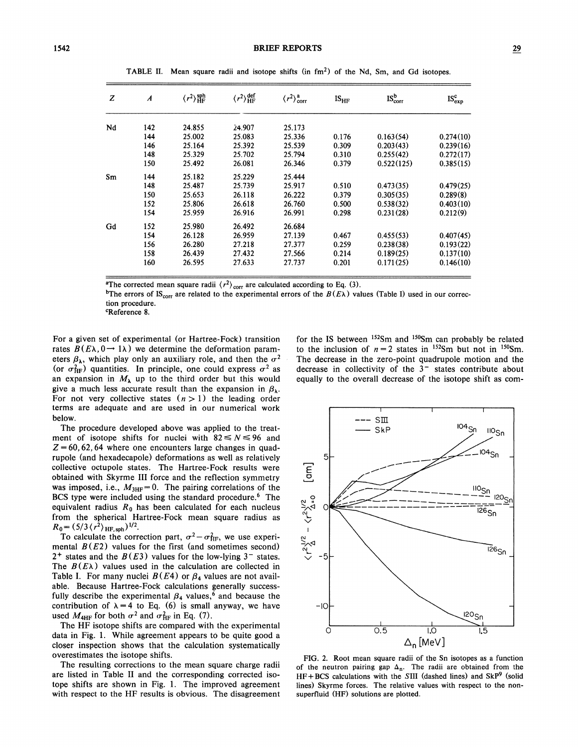| z  | $\boldsymbol{A}$ | $\langle r^2\rangle_{\rm HF}^{\rm sph}$ | $\langle r^2\rangle^{\text{def}}_{\text{HF}}$ | $\langle r^2 \rangle^a_{\text{corr}}$ | $IS_{HF}$ | $IS_{\rm corr}^b$ | $IS_{exp}^{c}$ |
|----|------------------|-----------------------------------------|-----------------------------------------------|---------------------------------------|-----------|-------------------|----------------|
| Nd | 142              | 24.855                                  | 24.907                                        | 25.173                                |           |                   |                |
|    | 144              | 25.002                                  | 25.083                                        | 25.336                                | 0.176     | 0.163(54)         | 0.274(10)      |
|    | 146              | 25.164                                  | 25.392                                        | 25.539                                | 0.309     | 0.203(43)         | 0.239(16)      |
|    | 148              | 25.329                                  | 25.702                                        | 25.794                                | 0.310     | 0.255(42)         | 0.272(17)      |
|    | 150              | 25.492                                  | 26.081                                        | 26.346                                | 0.379     | 0.522(125)        | 0.385(15)      |
| Sm | 144              | 25.182                                  | 25.229                                        | 25.444                                |           |                   |                |
|    | 148              | 25.487                                  | 25.739                                        | 25.917                                | 0.510     | 0.473(35)         | 0.479(25)      |
|    | 150              | 25.653                                  | 26.118                                        | 26.222                                | 0.379     | 0.305(35)         | 0.289(8)       |
|    | 152              | 25.806                                  | 26.618                                        | 26.760                                | 0.500     | 0.538(32)         | 0.403(10)      |
|    | 154              | 25.959                                  | 26.916                                        | 26.991                                | 0.298     | 0.231(28)         | 0.212(9)       |
| Gd | 152              | 25.980                                  | 26.492                                        | 26.684                                |           |                   |                |
|    | 154              | 26.128                                  | 26.959                                        | 27.139                                | 0.467     | 0.455(53)         | 0.407(45)      |
|    | 156              | 26.280                                  | 27.218                                        | 27.377                                | 0.259     | 0.238(38)         | 0.193(22)      |
|    | 158              | 26.439                                  | 27.432                                        | 27.566                                | 0.214     | 0.189(25)         | 0.137(10)      |
|    | 160              | 26.595                                  | 27.633                                        | 27.737                                | 0.201     | 0.171(25)         | 0.146(10)      |

TABLE II. Mean square radii and isotope shifts (in  $fm<sup>2</sup>$ ) of the Nd, Sm, and Gd isotopes.

<sup>a</sup>The corrected mean square radii  $\langle r^2 \rangle_{\text{corr}}$  are calculated according to Eq. (3).

<sup>b</sup>The errors of IS<sub>corr</sub> are related to the experimental errors of the  $B(E\lambda)$  values (Table I) used in our correction procedure.<br><sup>c</sup>Reference 8.

For a given set of experimental (or Hartree-Fock) transition rates  $B(E\lambda, 0 \rightarrow 1\lambda)$  we determine the deformation parameters  $\beta_{\lambda}$ , which play only an auxiliary role, and then the  $\sigma^2$ (or  $\sigma_{HF}^2$ ) quantities. In principle, one could express  $\sigma^2$  as an expansion in  $M_{\lambda}$  up to the third order but this would give a much less accurate result than the expansion in  $\beta_{\lambda}$ . For not very collective states  $(n > 1)$  the leading order terms are adequate and are used in our numerical work below.

The procedure developed above was applied to the treatment of isotope shifts for nuclei with  $82 \le N \le 96$  and  $Z = 60, 62, 64$  where one encounters large changes in quadrupole (and hexadecapole) deformations as well as relatively collective octupole states. The Hartree-Fock results were obtained with Skyrme III force and the reflection symmetry was imposed, i.e.,  $M_{3HF} = 0$ . The pairing correlations of the BCS type were included using the standard procedure.<sup>6</sup> The equivalent radius  $R_0$  has been calculated for each nucleus from the spherical Hartree-Fock mean square radius as  $R_0 = (5/3 \langle r^2 \rangle_{\text{HF, sph}})^{1/2}.$ 

To calculate the correction part,  $\sigma^2 - \sigma_{HF}^2$ , we use experimental  $B(E2)$  values for the first (and sometimes second)  $2^+$  states and the  $B(E3)$  values for the low-lying  $3^-$  states. The  $B(E\lambda)$  values used in the calculation are collected in Table I. For many nuclei  $B(E4)$  or  $\beta_4$  values are not available. Because Hartree-Fock calculations generally successfully describe the experimental  $\beta_4$  values,<sup>6</sup> and because the contribution of  $\lambda = 4$  to Eq. (6) is small anyway, we have used  $M_{\text{4HF}}$  for both  $\sigma^2$  and  $\sigma_{\text{HF}}^2$  in Eq. (7).

The HF isotope shifts are compared with the experimental data in Fig. 1. While agreement appears to be quite good a closer inspection shows that the calculation systematically overestimates the isotope shifts.

The resulting corrections to the mean square charge radii are listed in Table II and the corresponding corrected isotope shifts are shown in Fig. 1. The improved agreement with respect to the HF results is obvious. The disagreement

for the IS between <sup>152</sup>Sm and <sup>150</sup>Sm can probably be related to the inclusion of  $n = 2$  states in <sup>152</sup>Sm but not in <sup>150</sup>Sm. The decrease in the zero-point quadrupole motion and the decrease in collectivity of the  $3<sup>-</sup>$  states contribute about equally to the overall decrease of the isotope shift as com-



FIG. 2. Root mean square radii of the Sn isotopes as a function of the neutron pairing gap  $\Delta_n$ . The radii are obtained from the  $HF + BCS$  calculations with the SIII (dashed lines) and  $SkP<sup>9</sup>$  (solid lines) Skyrme forces. The relative values with respect to the nonsuperfluid (HF) solutions are plotted.